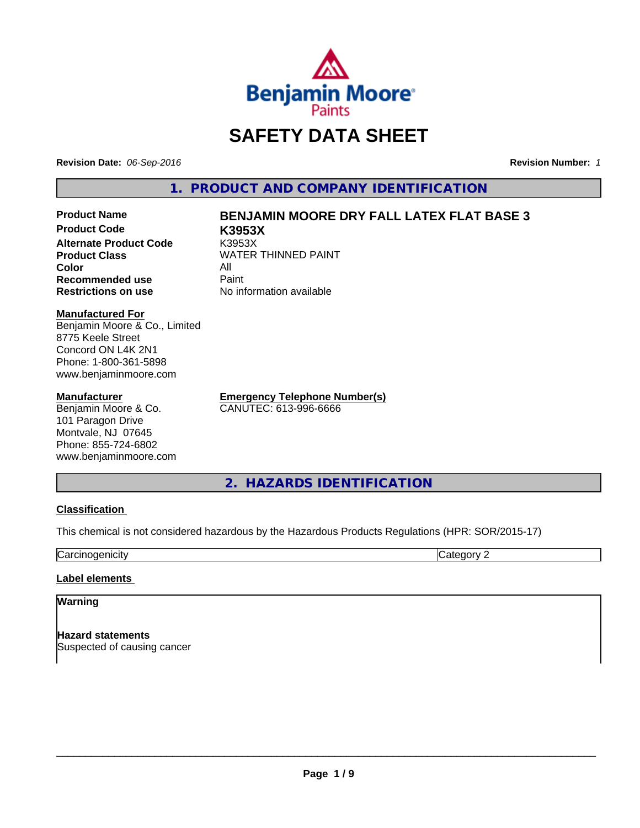

# **SAFETY DATA SHEET**

**Revision Date:** *06-Sep-2016* **Revision Number:** *1*

**1. PRODUCT AND COMPANY IDENTIFICATION**

**Product Code K3953X Alternate Product Code** K3953X **Color** All **Recommended use Paint Restrictions on use** No information available

## **Product Name BENJAMIN MOORE DRY FALL LATEX FLAT BASE 3**

**Product Class WATER THINNED PAINT** 

**Manufactured For**

Benjamin Moore & Co., Limited 8775 Keele Street Concord ON L4K 2N1 Phone: 1-800-361-5898 www.benjaminmoore.com

### **Manufacturer**

Benjamin Moore & Co. 101 Paragon Drive Montvale, NJ 07645 Phone: 855-724-6802 www.benjaminmoore.com **Emergency Telephone Number(s)** CANUTEC: 613-996-6666

**2. HAZARDS IDENTIFICATION**

### **Classification**

This chemical is not considered hazardous by the Hazardous Products Regulations (HPR: SOR/2015-17)

**Carcinogenicity** Category 2

### **Label elements**

### **Warning**

**Hazard statements** Suspected of causing cancer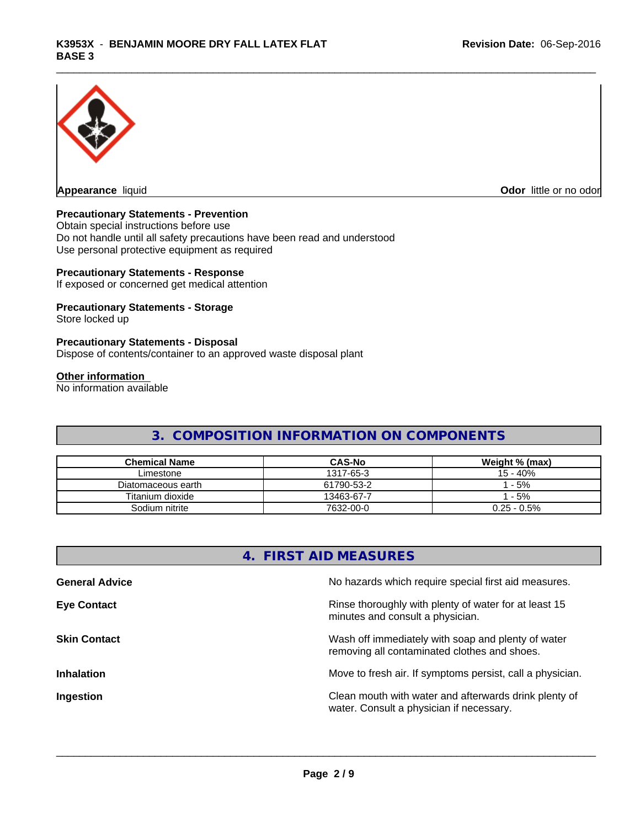

**Appearance** liquid **Contract Contract Contract Contract Contract Contract Contract Contract Contract Contract Contract Contract Contract Contract Contract Contract Contract Contract Contract Contract Contract Contract Con** 

### **Precautionary Statements - Prevention**

Obtain special instructions before use Do not handle until all safety precautions have been read and understood Use personal protective equipment as required

### **Precautionary Statements - Response**

If exposed or concerned get medical attention

### **Precautionary Statements - Storage**

Store locked up

#### **Precautionary Statements - Disposal**

Dispose of contents/container to an approved waste disposal plant

### **Other information**

No information available

### **3. COMPOSITION INFORMATION ON COMPONENTS**

| <b>Chemical Name</b> | <b>CAS-No</b> | Weight % (max) |
|----------------------|---------------|----------------|
| Limestone            | 1317-65-3     | 15 - 40%       |
| Diatomaceous earth   | 61790-53-2    | $-5%$          |
| Titanium dioxide     | 13463-67-7    | $-5%$          |
| Sodium nitrite       | 7632-00-0     | $0.25 - 0.5\%$ |

| 4. FIRST AID MEASURES |                                                                                                    |  |  |  |
|-----------------------|----------------------------------------------------------------------------------------------------|--|--|--|
| <b>General Advice</b> | No hazards which require special first aid measures.                                               |  |  |  |
| <b>Eye Contact</b>    | Rinse thoroughly with plenty of water for at least 15<br>minutes and consult a physician.          |  |  |  |
| <b>Skin Contact</b>   | Wash off immediately with soap and plenty of water<br>removing all contaminated clothes and shoes. |  |  |  |
| <b>Inhalation</b>     | Move to fresh air. If symptoms persist, call a physician.                                          |  |  |  |
| Ingestion             | Clean mouth with water and afterwards drink plenty of<br>water. Consult a physician if necessary.  |  |  |  |
|                       |                                                                                                    |  |  |  |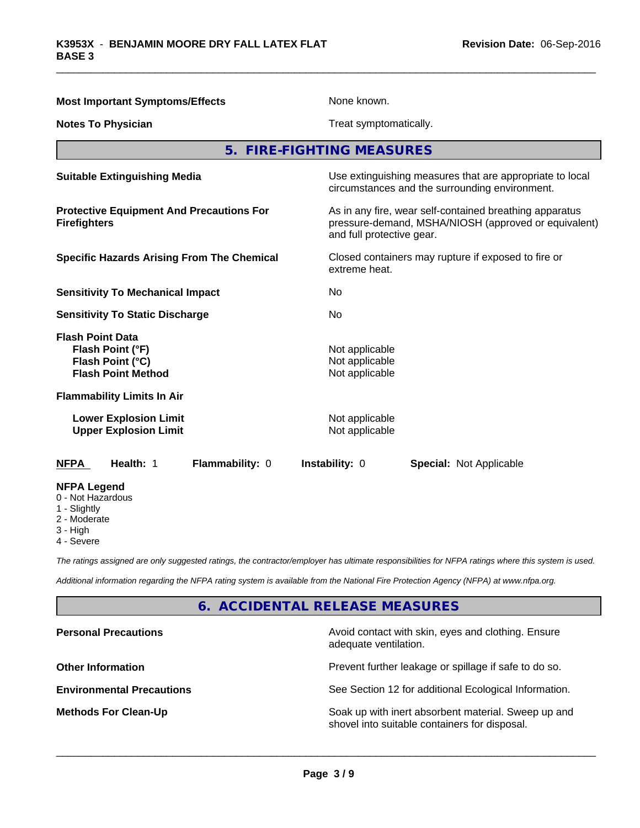| <b>Most Important Symptoms/Effects</b>                                                            | None known.                                                                                                                                  |  |  |
|---------------------------------------------------------------------------------------------------|----------------------------------------------------------------------------------------------------------------------------------------------|--|--|
| <b>Notes To Physician</b>                                                                         | Treat symptomatically.                                                                                                                       |  |  |
|                                                                                                   | 5. FIRE-FIGHTING MEASURES                                                                                                                    |  |  |
| <b>Suitable Extinguishing Media</b>                                                               | Use extinguishing measures that are appropriate to local<br>circumstances and the surrounding environment.                                   |  |  |
| <b>Protective Equipment And Precautions For</b><br><b>Firefighters</b>                            | As in any fire, wear self-contained breathing apparatus<br>pressure-demand, MSHA/NIOSH (approved or equivalent)<br>and full protective gear. |  |  |
| <b>Specific Hazards Arising From The Chemical</b>                                                 | Closed containers may rupture if exposed to fire or<br>extreme heat.                                                                         |  |  |
| <b>Sensitivity To Mechanical Impact</b>                                                           | No                                                                                                                                           |  |  |
| <b>Sensitivity To Static Discharge</b>                                                            | No                                                                                                                                           |  |  |
| <b>Flash Point Data</b><br>Flash Point (°F)<br>Flash Point (°C)<br><b>Flash Point Method</b>      | Not applicable<br>Not applicable<br>Not applicable                                                                                           |  |  |
| <b>Flammability Limits In Air</b><br><b>Lower Explosion Limit</b><br><b>Upper Explosion Limit</b> | Not applicable<br>Not applicable                                                                                                             |  |  |
| Flammability: 0<br>Health: 1<br><b>NFPA</b>                                                       | Instability: 0<br><b>Special: Not Applicable</b>                                                                                             |  |  |
| <b>NFPA Legend</b><br>0 - Not Hazardous<br>1 - Slightly<br>2 - Moderate<br>3 - High<br>4 - Severe |                                                                                                                                              |  |  |

*The ratings assigned are only suggested ratings, the contractor/employer has ultimate responsibilities for NFPA ratings where this system is used.*

*Additional information regarding the NFPA rating system is available from the National Fire Protection Agency (NFPA) at www.nfpa.org.*

### **6. ACCIDENTAL RELEASE MEASURES**

| Avoid contact with skin, eyes and clothing. Ensure<br>adequate ventilation.                          |
|------------------------------------------------------------------------------------------------------|
| Prevent further leakage or spillage if safe to do so.                                                |
| See Section 12 for additional Ecological Information.                                                |
| Soak up with inert absorbent material. Sweep up and<br>shovel into suitable containers for disposal. |
|                                                                                                      |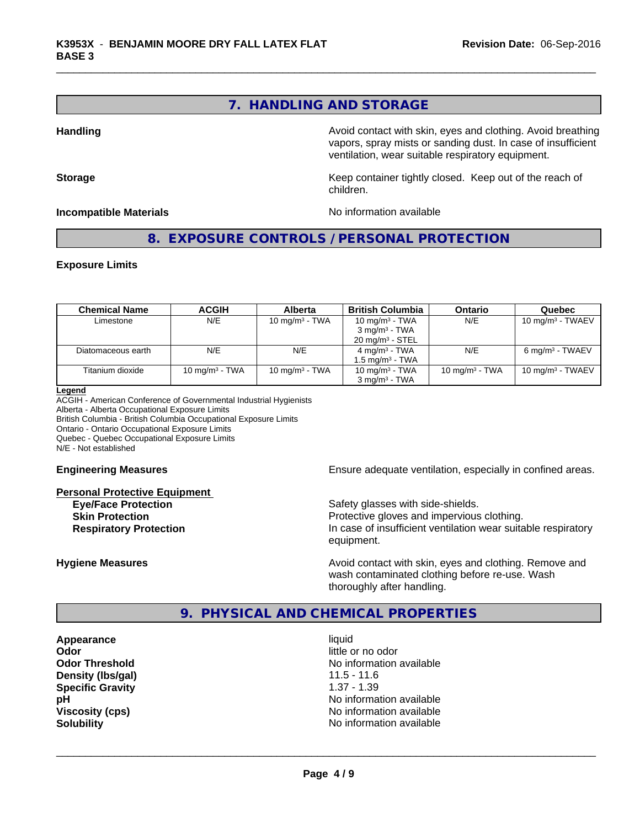### **7. HANDLING AND STORAGE**

**Handling Handling Avoid contact with skin, eyes and clothing. Avoid breathing Handling Avoid breathing** vapors, spray mists or sanding dust. In case of insufficient ventilation, wear suitable respiratory equipment.

**Storage** Storage **Keep container tightly closed.** Keep out of the reach of children.

**Incompatible Materials Incompatible Materials No information available** 

**8. EXPOSURE CONTROLS / PERSONAL PROTECTION**

### **Exposure Limits**

| <b>Chemical Name</b> | <b>ACGIH</b>      | <b>Alberta</b>    | <b>British Columbia</b>     | <b>Ontario</b>            | Quebec                      |
|----------------------|-------------------|-------------------|-----------------------------|---------------------------|-----------------------------|
| Limestone            | N/E               | 10 mg/m $3$ - TWA | 10 mg/m $3$ - TWA           | N/E                       | 10 mg/m $3$ - TWAEV         |
|                      |                   |                   | $3 \text{ mg/m}^3$ - TWA    |                           |                             |
|                      |                   |                   | $20 \text{ mg/m}^3$ - STEL  |                           |                             |
| Diatomaceous earth   | N/E               | N/E               | $4 \text{ mg/m}^3$ - TWA    | N/E                       | 6 mg/m <sup>3</sup> - TWAEV |
|                      |                   |                   | 1.5 mg/m <sup>3</sup> - TWA |                           |                             |
| Titanium dioxide     | 10 mg/m $3$ - TWA | 10 mg/m $3$ - TWA | 10 mg/m $3$ - TWA           | $10 \text{ mg/m}^3$ - TWA | 10 mg/m $3$ - TWAEV         |
|                      |                   |                   | $3$ mg/m <sup>3</sup> - TWA |                           |                             |

#### **Legend**

ACGIH - American Conference of Governmental Industrial Hygienists Alberta - Alberta Occupational Exposure Limits British Columbia - British Columbia Occupational Exposure Limits

Ontario - Ontario Occupational Exposure Limits

Quebec - Quebec Occupational Exposure Limits

N/E - Not established

#### **Personal Protective Equipment**

**Engineering Measures Ensure adequate ventilation, especially in confined areas.** 

**Eye/Face Protection** Safety glasses with side-shields. **Skin Protection Protection Protective gloves and impervious clothing. Respiratory Protection In case of insufficient ventilation wear suitable respiratory** equipment.

**Hygiene Measures Avoid contact with skin, eyes and clothing. Remove and Hygiene Measures** and clothing. Remove and wash contaminated clothing before re-use. Wash thoroughly after handling.

### **9. PHYSICAL AND CHEMICAL PROPERTIES**

**Appearance** liquid **Odor** little or no odor **Density (Ibs/gal)** 11.5 - 11.6 **Specific Gravity** 1.37 - 1.39

**Odor Threshold No information available No information available pH** No information available **Viscosity (cps)** No information available **Solubility No information available No** information available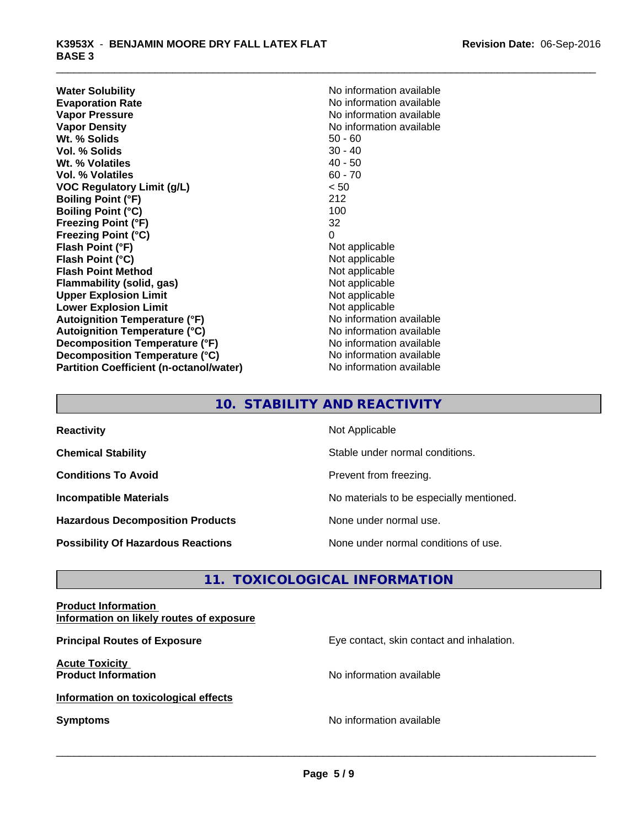**Water Solubility**<br> **Evaporation Rate**<br> **Evaporation Rate**<br> **Evaporation Rate Evaporation Rate No information available**<br> **Vapor Pressure No information available**<br>
No information available **Vapor Density**<br> **We Solids**<br>
We Solids
2019<br>
We Note that the Solid S0 - 60 **Wt. % Solids** 50 - 60<br> **Vol. % Solids** 30 - 40 **Vol. % Solids Wt.** % Volatiles 40 - 50 **Vol. % Volatiles** 60 - 70 **VOC Regulatory Limit (g/L)** < 50 **Boiling Point (°F)** 212 **Boiling Point (°C)** 100 **Freezing Point (°F)** 32 **Freezing Point (°C)** 0 **Flash Point (°F)**<br> **Flash Point (°C)**<br> **Flash Point (°C)**<br> **C Flash Point (°C) Flash Point Method**<br> **Flammability (solid, gas)**<br>
Not applicable<br>
Not applicable **Flammability** (solid, gas) **Upper Explosion Limit** Not applicable **Lower Explosion Limit**<br> **Autoignition Temperature (°F)**<br> **Autoignition Temperature (°F)**<br> **Autoignition Temperature (°F) Autoignition Temperature (°F) Autoignition Temperature (°C)** No information available **Decomposition Temperature (°F)** No information available **Decomposition Temperature (°C)** No information available **Partition Coefficient (n-octanol/water)** No information available

**No information available** 

### **10. STABILITY AND REACTIVITY**

| <b>Reactivity</b>                         | Not Applicable                           |
|-------------------------------------------|------------------------------------------|
| <b>Chemical Stability</b>                 | Stable under normal conditions.          |
| <b>Conditions To Avoid</b>                | Prevent from freezing.                   |
| <b>Incompatible Materials</b>             | No materials to be especially mentioned. |
| <b>Hazardous Decomposition Products</b>   | None under normal use.                   |
| <b>Possibility Of Hazardous Reactions</b> | None under normal conditions of use.     |

### **11. TOXICOLOGICAL INFORMATION**

### **Product Information Information on likely routes of exposure**

**Principal Routes of Exposure Exposure** Eye contact, skin contact and inhalation. **Acute Toxicity Product Information Information No information available Information on toxicological effects Symptoms** No information available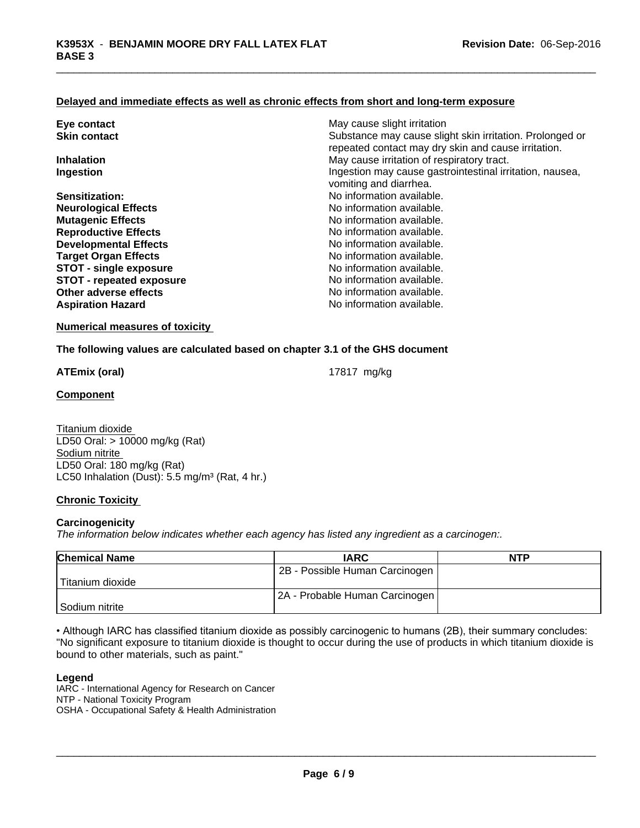### **Delayed and immediate effects as well as chronic effects from short and long-term exposure**

| Eye contact                     | May cause slight irritation                                                                                     |
|---------------------------------|-----------------------------------------------------------------------------------------------------------------|
| <b>Skin contact</b>             | Substance may cause slight skin irritation. Prolonged or<br>repeated contact may dry skin and cause irritation. |
| <b>Inhalation</b>               | May cause irritation of respiratory tract.                                                                      |
| Ingestion                       | Ingestion may cause gastrointestinal irritation, nausea,<br>vomiting and diarrhea.                              |
| Sensitization:                  | No information available.                                                                                       |
| <b>Neurological Effects</b>     | No information available.                                                                                       |
| <b>Mutagenic Effects</b>        | No information available.                                                                                       |
| <b>Reproductive Effects</b>     | No information available.                                                                                       |
| <b>Developmental Effects</b>    | No information available.                                                                                       |
| <b>Target Organ Effects</b>     | No information available.                                                                                       |
| <b>STOT - single exposure</b>   | No information available.                                                                                       |
| <b>STOT - repeated exposure</b> | No information available.                                                                                       |
| Other adverse effects           | No information available.                                                                                       |
| <b>Aspiration Hazard</b>        | No information available.                                                                                       |

### **Numerical measures of toxicity**

**The following values are calculated based on chapter 3.1 of the GHS document**

**ATEmix (oral)** 17817 mg/kg

**Component**

Titanium dioxide LD50 Oral: > 10000 mg/kg (Rat) Sodium nitrite LD50 Oral: 180 mg/kg (Rat) LC50 Inhalation (Dust): 5.5 mg/m<sup>3</sup> (Rat, 4 hr.)

### **Chronic Toxicity**

### **Carcinogenicity**

*The information below indicateswhether each agency has listed any ingredient as a carcinogen:.*

| <b>Chemical Name</b> | <b>IARC</b>                    | <b>NTP</b> |
|----------------------|--------------------------------|------------|
|                      | 2B - Possible Human Carcinogen |            |
| Titanium dioxide     |                                |            |
|                      | 2A - Probable Human Carcinogen |            |
| l Sodium nitrite     |                                |            |

• Although IARC has classified titanium dioxide as possibly carcinogenic to humans (2B), their summary concludes: "No significant exposure to titanium dioxide is thought to occur during the use of products in which titanium dioxide is bound to other materials, such as paint."

### **Legend**

IARC - International Agency for Research on Cancer NTP - National Toxicity Program OSHA - Occupational Safety & Health Administration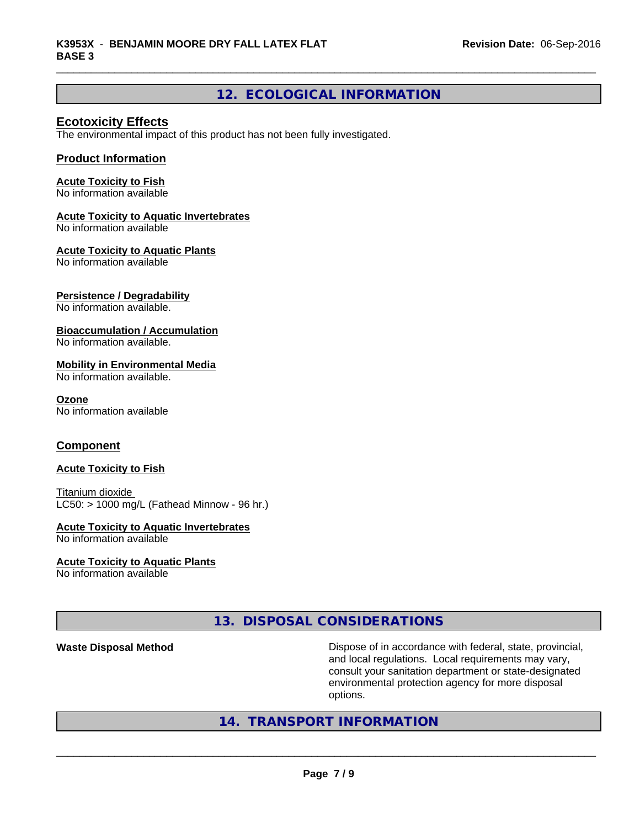### **12. ECOLOGICAL INFORMATION**

### **Ecotoxicity Effects**

The environmental impact of this product has not been fully investigated.

### **Product Information**

### **Acute Toxicity to Fish**

No information available

#### **Acute Toxicity to Aquatic Invertebrates**

No information available

#### **Acute Toxicity to Aquatic Plants**

No information available

### **Persistence / Degradability**

No information available.

### **Bioaccumulation / Accumulation**

No information available.

#### **Mobility in Environmental Media**

No information available.

#### **Ozone**

No information available

### **Component**

#### **Acute Toxicity to Fish**

Titanium dioxide  $LC50:$  > 1000 mg/L (Fathead Minnow - 96 hr.)

#### **Acute Toxicity to Aquatic Invertebrates**

No information available

#### **Acute Toxicity to Aquatic Plants**

No information available

### **13. DISPOSAL CONSIDERATIONS**

**Waste Disposal Method Dispose of in accordance with federal, state, provincial,** and local regulations. Local requirements may vary, consult your sanitation department or state-designated environmental protection agency for more disposal options.

### **14. TRANSPORT INFORMATION**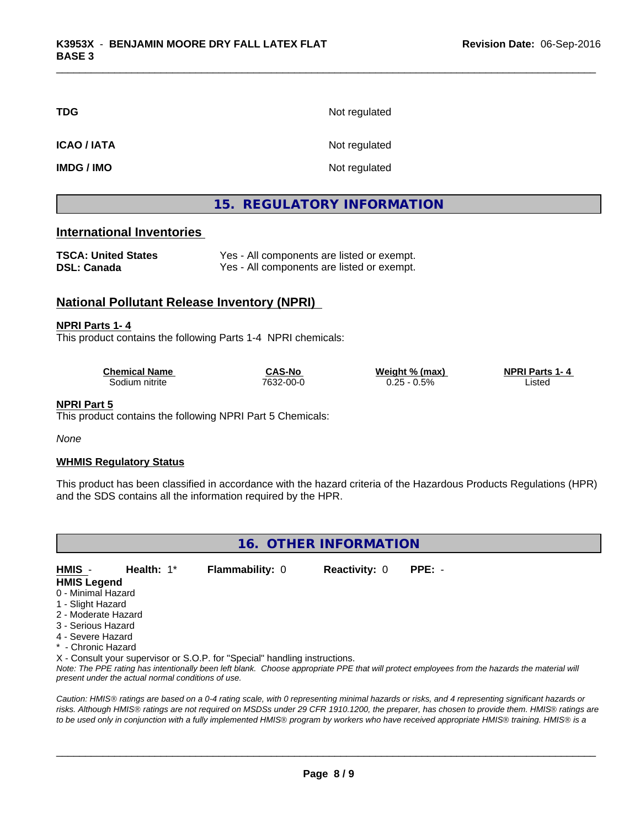| <b>TDG</b>        | Not regulated |
|-------------------|---------------|
| <b>ICAO/IATA</b>  | Not regulated |
| <b>IMDG / IMO</b> | Not regulated |

### **15. REGULATORY INFORMATION**

### **International Inventories**

| <b>TSCA: United States</b> | Yes - All components are listed or exempt. |
|----------------------------|--------------------------------------------|
| <b>DSL: Canada</b>         | Yes - All components are listed or exempt. |

### **National Pollutant Release Inventory (NPRI)**

**NPRI Parts 1- 4** This product contains the following Parts 1-4 NPRI chemicals:

| Chemical Name      | CAS-No    | Weight % (max)     | <b>NPRI Parts</b><br>-4<br>н. |
|--------------------|-----------|--------------------|-------------------------------|
| 30dium.<br>nitrite | 7632-00-0 | 0.5%<br>つに<br>u.zu | Listec<br>.                   |

#### **NPRI Part 5**

This product contains the following NPRI Part 5 Chemicals:

*None*

### **WHMIS Regulatory Status**

This product has been classified in accordance with the hazard criteria of the Hazardous Products Regulations (HPR) and the SDS contains all the information required by the HPR.

### **16. OTHER INFORMATION**

| HMIS -              | <b>Health:</b> $1^*$ | <b>Flammability: 0</b> | <b>Reactivity: 0</b> | PPE: - |  |
|---------------------|----------------------|------------------------|----------------------|--------|--|
| <b>HMIS Legend</b>  |                      |                        |                      |        |  |
| 0 - Minimal Hazard  |                      |                        |                      |        |  |
| 1 - Slight Hazard   |                      |                        |                      |        |  |
| 2 - Moderate Hazard |                      |                        |                      |        |  |
| 3 - Serious Hazard  |                      |                        |                      |        |  |

- 
- 4 Severe Hazard
- \* Chronic Hazard

X - Consult your supervisor or S.O.P. for "Special" handling instructions.

*Note: The PPE rating has intentionally been left blank. Choose appropriate PPE that will protect employees from the hazards the material will present under the actual normal conditions of use.*

*Caution: HMISÒ ratings are based on a 0-4 rating scale, with 0 representing minimal hazards or risks, and 4 representing significant hazards or risks. Although HMISÒ ratings are not required on MSDSs under 29 CFR 1910.1200, the preparer, has chosen to provide them. HMISÒ ratings are to be used only in conjunction with a fully implemented HMISÒ program by workers who have received appropriate HMISÒ training. HMISÒ is a*